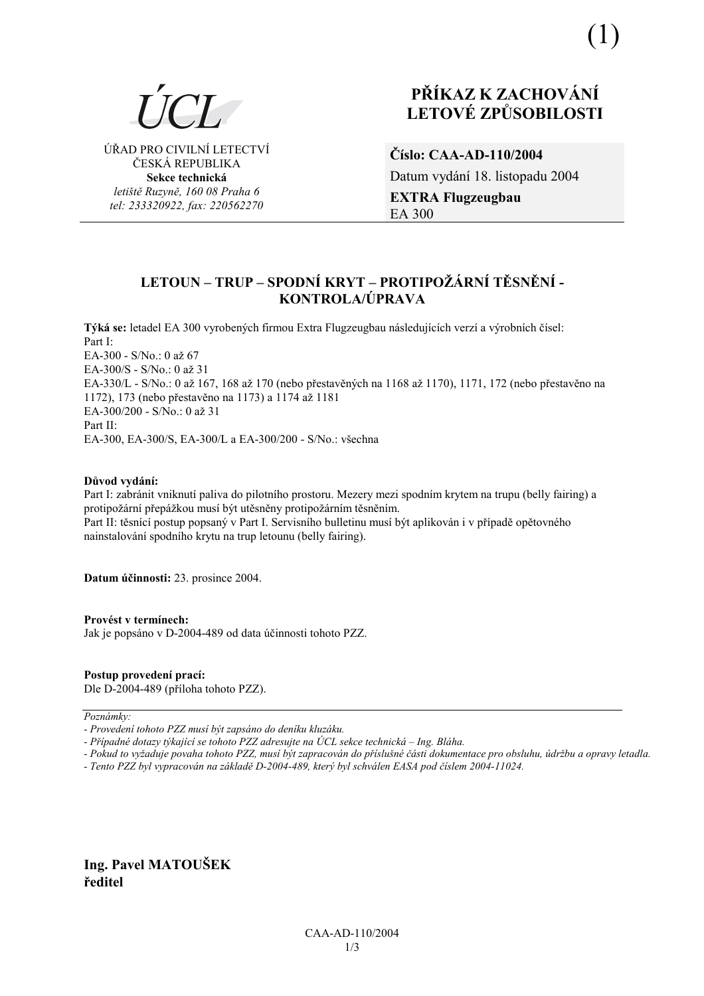

ÚŘAD PRO CIVILNÍ LETECTVÍ ČESKÁ REPUBLIKA **Sekce technická** *letiötě Ruzyně, 160 08 Praha 6 tel: 233320922, fax: 220562270*

# **PŘÍKAZ K ZACHOVÁNÍ LETOV… ZPŮSOBILOSTI**

**ČÌslo: CAA-AD-110/2004**  Datum vydání 18. listopadu 2004 **EXTRA Flugzeugbau**  EA 300

## **LETOUN ñ TRUP ñ SPODNÕ KRYT ñ PROTIPOé£RNÕ TĚSNĚNÕ - KONTROLA/⁄PRAVA**

**Týká se:** letadel EA 300 vyrobených firmou Extra Flugzeugbau následujících verzí a výrobních čísel: Part I: EA-300 - S/No.: 0 až 67 EA-300/S - S/No.: 0 až 31 EA-330/L - S/No.: 0 až 167, 168 až 170 (nebo přestavěných na 1168 až 1170), 1171, 172 (nebo přestavěno na 1172), 173 (nebo přestavěno na 1173) a 1174 aû 1181  $EA-300/200 - S/No$ .: 0 až 31 Part II: EA-300, EA-300/S, EA-300/L a EA-300/200 - S/No.: vöechna

#### $D$ ůvod vydání:

Part I: zabránit vniknutí paliva do pilotního prostoru. Mezery mezi spodním krytem na trupu (belly fairing) a protipožární přepážkou musí být utěsněny protipožárním těsněním. Part II: těsnící postup popsaný v Part I. Servisního bulletinu musí být aplikován i v případě opětovného nainstalování spodního krytu na trup letounu (belly fairing).

**Datum ˙činnosti:** 23. prosince 2004.

#### **ProvÈst v termÌnech:**

Jak je popsáno v D-2004-489 od data účinnosti tohoto PZZ.

## **Postup provedenÌ pracÌ:**

Dle D-2004-489 (příloha tohoto PZZ).

Poznámky:

- Případné dotazy týkající se tohoto PZZ adresujte na ÚCL sekce technická – Ing. Bláha.

*- Pokud to vyûaduje povaha tohoto PZZ, musÌ b˝t zapracov·n do přÌsluönÈ č·sti dokumentace pro obsluhu, ˙drûbu a opravy letadla.* 

*- Tento PZZ byl vypracov·n na z·kladě D-2004-489, kter˝ byl schv·len EASA pod čÌslem 2004-11024.* 

**Ing. Pavel MATOUäEK ředitel** 

*<sup>-</sup> ProvedenÌ tohoto PZZ musÌ b˝t zaps·no do denÌku kluz·ku.*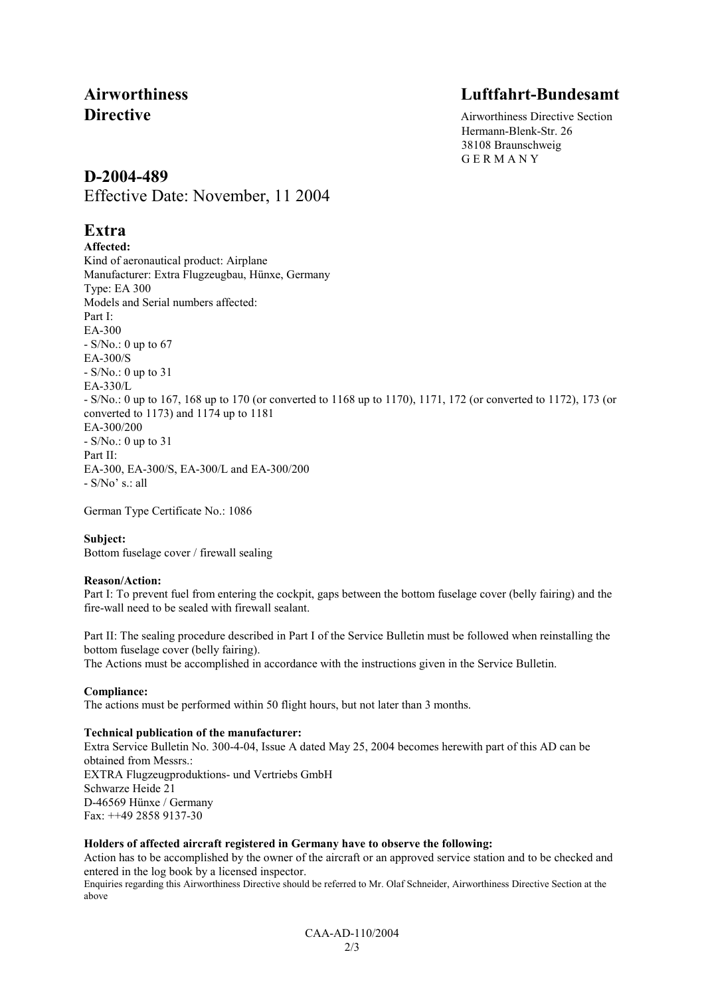# **Airworthiness Luftfahrt-Bundesamt**

**Directive** Airworthiness Directive Section Hermann-Blenk-Str. 26 38108 Braunschweig G E R M A N Y

## **D-2004-489**

Effective Date: November, 11 2004

# **Extra**

**Affected:**  Kind of aeronautical product: Airplane Manufacturer: Extra Flugzeugbau, Hünxe, Germany Type: EA 300 Models and Serial numbers affected: Part I: EA-300 - S/No.: 0 up to 67 EA-300/S - S/No.: 0 up to 31 EA-330/L - S/No.: 0 up to 167, 168 up to 170 (or converted to 1168 up to 1170), 1171, 172 (or converted to 1172), 173 (or converted to 1173) and 1174 up to 1181 EA-300/200 - S/No.: 0 up to 31 Part II: EA-300, EA-300/S, EA-300/L and EA-300/200  $-S/No<sup>3</sup>$  s.: all

German Type Certificate No.: 1086

## **Subject:**

Bottom fuselage cover / firewall sealing

## **Reason/Action:**

Part I: To prevent fuel from entering the cockpit, gaps between the bottom fuselage cover (belly fairing) and the fire-wall need to be sealed with firewall sealant.

Part II: The sealing procedure described in Part I of the Service Bulletin must be followed when reinstalling the bottom fuselage cover (belly fairing).

The Actions must be accomplished in accordance with the instructions given in the Service Bulletin.

## **Compliance:**

The actions must be performed within 50 flight hours, but not later than 3 months.

## **Technical publication of the manufacturer:**

Extra Service Bulletin No. 300-4-04, Issue A dated May 25, 2004 becomes herewith part of this AD can be obtained from Messrs.: EXTRA Flugzeugproduktions- und Vertriebs GmbH Schwarze Heide 21 D-46569 Hünxe / Germany Fax: ++49 2858 9137-30

## **Holders of affected aircraft registered in Germany have to observe the following:**

Action has to be accomplished by the owner of the aircraft or an approved service station and to be checked and entered in the log book by a licensed inspector.

Enquiries regarding this Airworthiness Directive should be referred to Mr. Olaf Schneider, Airworthiness Directive Section at the above